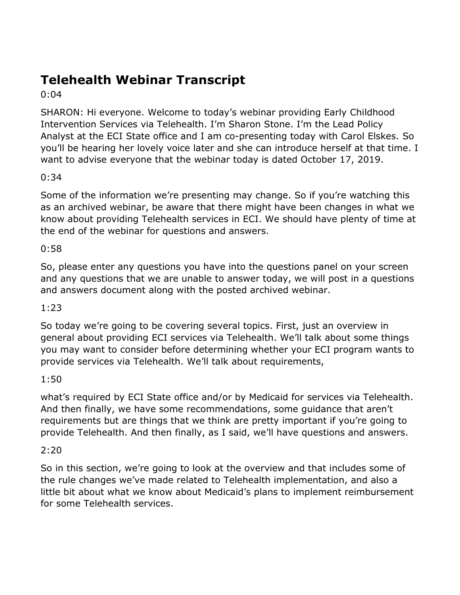# **Telehealth Webinar Transcript**

0:04

SHARON: Hi everyone. Welcome to today's webinar providing Early Childhood Intervention Services via Telehealth. I'm Sharon Stone. I'm the Lead Policy Analyst at the ECI State office and I am co-presenting today with Carol Elskes. So you'll be hearing her lovely voice later and she can introduce herself at that time. I want to advise everyone that the webinar today is dated October 17, 2019.

# 0:34

Some of the information we're presenting may change. So if you're watching this as an archived webinar, be aware that there might have been changes in what we know about providing Telehealth services in ECI. We should have plenty of time at the end of the webinar for questions and answers.

# 0:58

So, please enter any questions you have into the questions panel on your screen and any questions that we are unable to answer today, we will post in a questions and answers document along with the posted archived webinar.

# 1:23

So today we're going to be covering several topics. First, just an overview in general about providing ECI services via Telehealth. We'll talk about some things you may want to consider before determining whether your ECI program wants to provide services via Telehealth. We'll talk about requirements,

# 1:50

what's required by ECI State office and/or by Medicaid for services via Telehealth. And then finally, we have some recommendations, some guidance that aren't requirements but are things that we think are pretty important if you're going to provide Telehealth. And then finally, as I said, we'll have questions and answers.

#### 2:20

So in this section, we're going to look at the overview and that includes some of the rule changes we've made related to Telehealth implementation, and also a little bit about what we know about Medicaid's plans to implement reimbursement for some Telehealth services.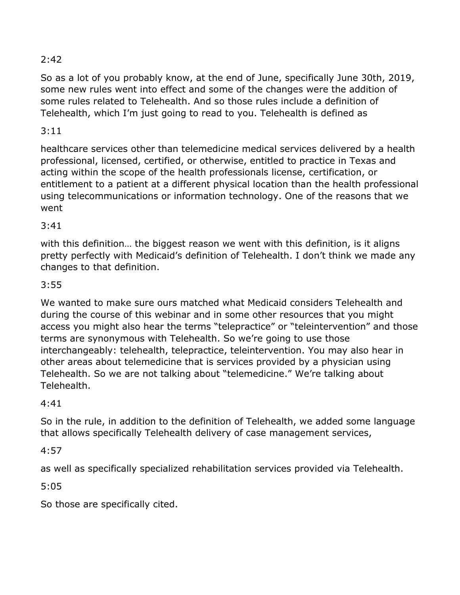So as a lot of you probably know, at the end of June, specifically June 30th, 2019, some new rules went into effect and some of the changes were the addition of some rules related to Telehealth. And so those rules include a definition of Telehealth, which I'm just going to read to you. Telehealth is defined as

# 3:11

healthcare services other than telemedicine medical services delivered by a health professional, licensed, certified, or otherwise, entitled to practice in Texas and acting within the scope of the health professionals license, certification, or entitlement to a patient at a different physical location than the health professional using telecommunications or information technology. One of the reasons that we went

## 3:41

with this definition… the biggest reason we went with this definition, is it aligns pretty perfectly with Medicaid's definition of Telehealth. I don't think we made any changes to that definition.

# 3:55

We wanted to make sure ours matched what Medicaid considers Telehealth and during the course of this webinar and in some other resources that you might access you might also hear the terms "telepractice" or "teleintervention" and those terms are synonymous with Telehealth. So we're going to use those interchangeably: telehealth, telepractice, teleintervention. You may also hear in other areas about telemedicine that is services provided by a physician using Telehealth. So we are not talking about "telemedicine." We're talking about Telehealth.

#### 4:41

So in the rule, in addition to the definition of Telehealth, we added some language that allows specifically Telehealth delivery of case management services,

#### 4:57

as well as specifically specialized rehabilitation services provided via Telehealth.

# 5:05

So those are specifically cited.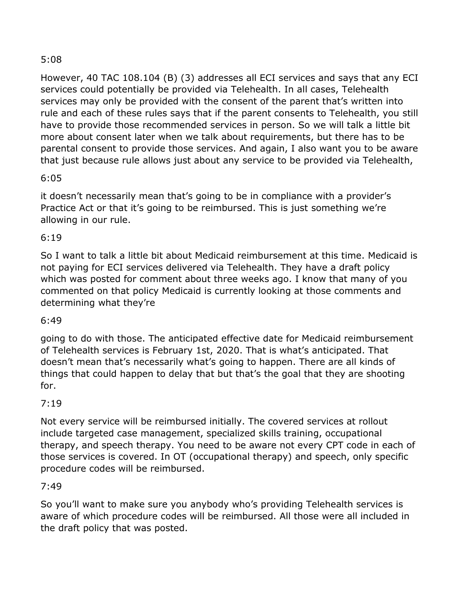However, 40 TAC 108.104 (B) (3) addresses all ECI services and says that any ECI services could potentially be provided via Telehealth. In all cases, Telehealth services may only be provided with the consent of the parent that's written into rule and each of these rules says that if the parent consents to Telehealth, you still have to provide those recommended services in person. So we will talk a little bit more about consent later when we talk about requirements, but there has to be parental consent to provide those services. And again, I also want you to be aware that just because rule allows just about any service to be provided via Telehealth,

## 6:05

it doesn't necessarily mean that's going to be in compliance with a provider's Practice Act or that it's going to be reimbursed. This is just something we're allowing in our rule.

## 6:19

So I want to talk a little bit about Medicaid reimbursement at this time. Medicaid is not paying for ECI services delivered via Telehealth. They have a draft policy which was posted for comment about three weeks ago. I know that many of you commented on that policy Medicaid is currently looking at those comments and determining what they're

#### 6:49

going to do with those. The anticipated effective date for Medicaid reimbursement of Telehealth services is February 1st, 2020. That is what's anticipated. That doesn't mean that's necessarily what's going to happen. There are all kinds of things that could happen to delay that but that's the goal that they are shooting for.

#### 7:19

Not every service will be reimbursed initially. The covered services at rollout include targeted case management, specialized skills training, occupational therapy, and speech therapy. You need to be aware not every CPT code in each of those services is covered. In OT (occupational therapy) and speech, only specific procedure codes will be reimbursed.

#### 7:49

So you'll want to make sure you anybody who's providing Telehealth services is aware of which procedure codes will be reimbursed. All those were all included in the draft policy that was posted.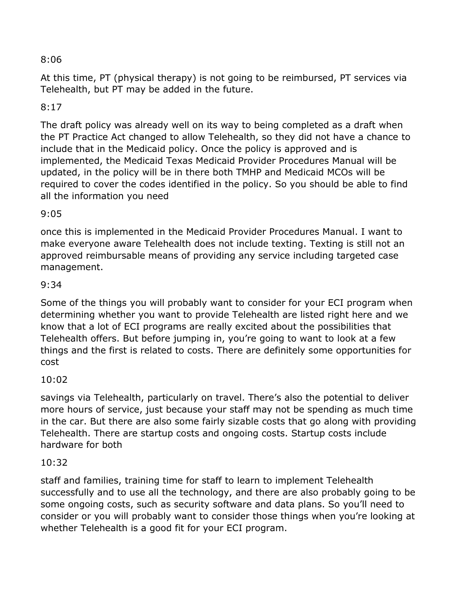At this time, PT (physical therapy) is not going to be reimbursed, PT services via Telehealth, but PT may be added in the future.

#### 8:17

The draft policy was already well on its way to being completed as a draft when the PT Practice Act changed to allow Telehealth, so they did not have a chance to include that in the Medicaid policy. Once the policy is approved and is implemented, the Medicaid Texas Medicaid Provider Procedures Manual will be updated, in the policy will be in there both TMHP and Medicaid MCOs will be required to cover the codes identified in the policy. So you should be able to find all the information you need

#### 9:05

once this is implemented in the Medicaid Provider Procedures Manual. I want to make everyone aware Telehealth does not include texting. Texting is still not an approved reimbursable means of providing any service including targeted case management.

#### 9:34

Some of the things you will probably want to consider for your ECI program when determining whether you want to provide Telehealth are listed right here and we know that a lot of ECI programs are really excited about the possibilities that Telehealth offers. But before jumping in, you're going to want to look at a few things and the first is related to costs. There are definitely some opportunities for cost

#### 10:02

savings via Telehealth, particularly on travel. There's also the potential to deliver more hours of service, just because your staff may not be spending as much time in the car. But there are also some fairly sizable costs that go along with providing Telehealth. There are startup costs and ongoing costs. Startup costs include hardware for both

#### 10:32

staff and families, training time for staff to learn to implement Telehealth successfully and to use all the technology, and there are also probably going to be some ongoing costs, such as security software and data plans. So you'll need to consider or you will probably want to consider those things when you're looking at whether Telehealth is a good fit for your ECI program.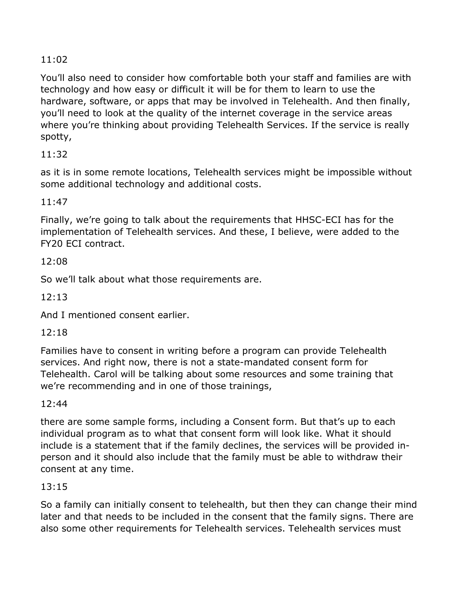You'll also need to consider how comfortable both your staff and families are with technology and how easy or difficult it will be for them to learn to use the hardware, software, or apps that may be involved in Telehealth. And then finally, you'll need to look at the quality of the internet coverage in the service areas where you're thinking about providing Telehealth Services. If the service is really spotty,

# 11:32

as it is in some remote locations, Telehealth services might be impossible without some additional technology and additional costs.

# 11:47

Finally, we're going to talk about the requirements that HHSC-ECI has for the implementation of Telehealth services. And these, I believe, were added to the FY20 ECI contract.

# 12:08

So we'll talk about what those requirements are.

12:13

And I mentioned consent earlier.

# 12:18

Families have to consent in writing before a program can provide Telehealth services. And right now, there is not a state-mandated consent form for Telehealth. Carol will be talking about some resources and some training that we're recommending and in one of those trainings,

# 12:44

there are some sample forms, including a Consent form. But that's up to each individual program as to what that consent form will look like. What it should include is a statement that if the family declines, the services will be provided inperson and it should also include that the family must be able to withdraw their consent at any time.

# 13:15

So a family can initially consent to telehealth, but then they can change their mind later and that needs to be included in the consent that the family signs. There are also some other requirements for Telehealth services. Telehealth services must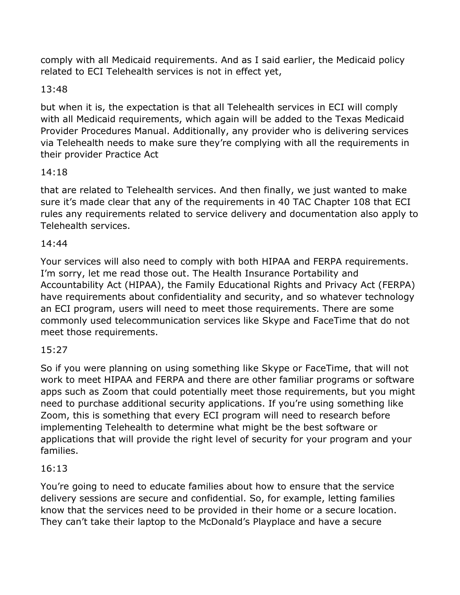comply with all Medicaid requirements. And as I said earlier, the Medicaid policy related to ECI Telehealth services is not in effect yet,

# 13:48

but when it is, the expectation is that all Telehealth services in ECI will comply with all Medicaid requirements, which again will be added to the Texas Medicaid Provider Procedures Manual. Additionally, any provider who is delivering services via Telehealth needs to make sure they're complying with all the requirements in their provider Practice Act

## 14:18

that are related to Telehealth services. And then finally, we just wanted to make sure it's made clear that any of the requirements in 40 TAC Chapter 108 that ECI rules any requirements related to service delivery and documentation also apply to Telehealth services.

## 14:44

Your services will also need to comply with both HIPAA and FERPA requirements. I'm sorry, let me read those out. The Health Insurance Portability and Accountability Act (HIPAA), the Family Educational Rights and Privacy Act (FERPA) have requirements about confidentiality and security, and so whatever technology an ECI program, users will need to meet those requirements. There are some commonly used telecommunication services like Skype and FaceTime that do not meet those requirements.

# 15:27

So if you were planning on using something like Skype or FaceTime, that will not work to meet HIPAA and FERPA and there are other familiar programs or software apps such as Zoom that could potentially meet those requirements, but you might need to purchase additional security applications. If you're using something like Zoom, this is something that every ECI program will need to research before implementing Telehealth to determine what might be the best software or applications that will provide the right level of security for your program and your families.

#### 16:13

You're going to need to educate families about how to ensure that the service delivery sessions are secure and confidential. So, for example, letting families know that the services need to be provided in their home or a secure location. They can't take their laptop to the McDonald's Playplace and have a secure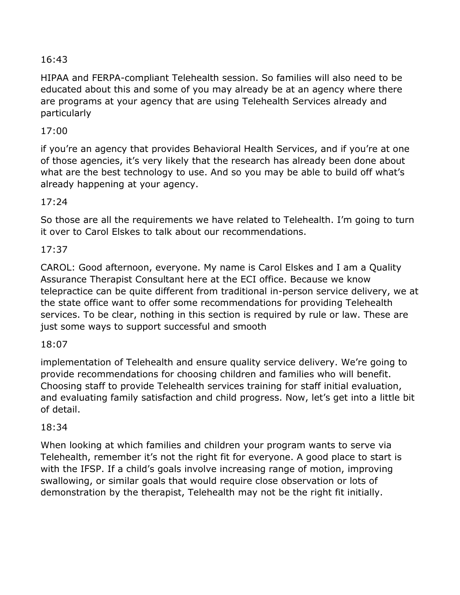HIPAA and FERPA-compliant Telehealth session. So families will also need to be educated about this and some of you may already be at an agency where there are programs at your agency that are using Telehealth Services already and particularly

# 17:00

if you're an agency that provides Behavioral Health Services, and if you're at one of those agencies, it's very likely that the research has already been done about what are the best technology to use. And so you may be able to build off what's already happening at your agency.

## 17:24

So those are all the requirements we have related to Telehealth. I'm going to turn it over to Carol Elskes to talk about our recommendations.

# 17:37

CAROL: Good afternoon, everyone. My name is Carol Elskes and I am a Quality Assurance Therapist Consultant here at the ECI office. Because we know telepractice can be quite different from traditional in-person service delivery, we at the state office want to offer some recommendations for providing Telehealth services. To be clear, nothing in this section is required by rule or law. These are just some ways to support successful and smooth

#### 18:07

implementation of Telehealth and ensure quality service delivery. We're going to provide recommendations for choosing children and families who will benefit. Choosing staff to provide Telehealth services training for staff initial evaluation, and evaluating family satisfaction and child progress. Now, let's get into a little bit of detail.

#### 18:34

When looking at which families and children your program wants to serve via Telehealth, remember it's not the right fit for everyone. A good place to start is with the IFSP. If a child's goals involve increasing range of motion, improving swallowing, or similar goals that would require close observation or lots of demonstration by the therapist, Telehealth may not be the right fit initially.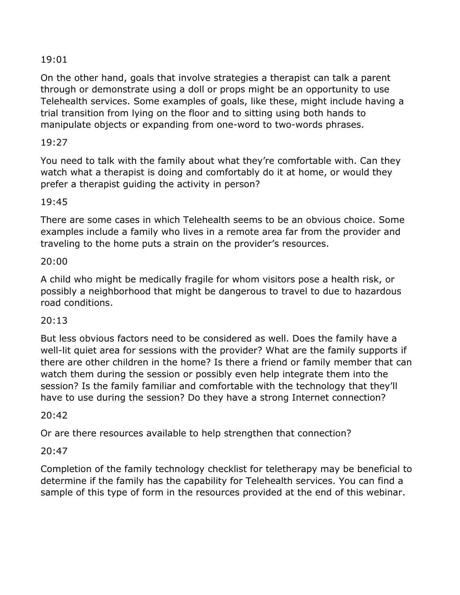On the other hand, goals that involve strategies a therapist can talk a parent through or demonstrate using a doll or props might be an opportunity to use Telehealth services. Some examples of goals, like these, might include having a trial transition from lying on the floor and to sitting using both hands to manipulate objects or expanding from one-word to two-words phrases.

## 19:27

You need to talk with the family about what they're comfortable with. Can they watch what a therapist is doing and comfortably do it at home, or would they prefer a therapist guiding the activity in person?

#### 19:45

There are some cases in which Telehealth seems to be an obvious choice. Some examples include a family who lives in a remote area far from the provider and traveling to the home puts a strain on the provider's resources.

#### 20:00

A child who might be medically fragile for whom visitors pose a health risk, or possibly a neighborhood that might be dangerous to travel to due to hazardous road conditions.

#### 20:13

But less obvious factors need to be considered as well. Does the family have a well-lit quiet area for sessions with the provider? What are the family supports if there are other children in the home? Is there a friend or family member that can watch them during the session or possibly even help integrate them into the session? Is the family familiar and comfortable with the technology that they'll have to use during the session? Do they have a strong Internet connection?

#### 20:42

Or are there resources available to help strengthen that connection?

#### 20:47

Completion of the family technology checklist for teletherapy may be beneficial to determine if the family has the capability for Telehealth services. You can find a sample of this type of form in the resources provided at the end of this webinar.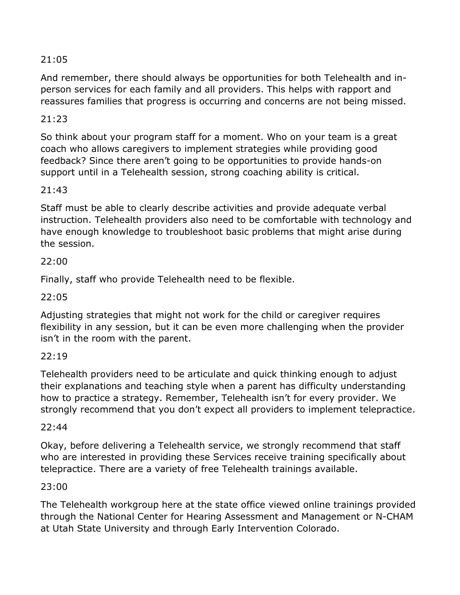And remember, there should always be opportunities for both Telehealth and inperson services for each family and all providers. This helps with rapport and reassures families that progress is occurring and concerns are not being missed.

# 21:23

So think about your program staff for a moment. Who on your team is a great coach who allows caregivers to implement strategies while providing good feedback? Since there aren't going to be opportunities to provide hands-on support until in a Telehealth session, strong coaching ability is critical.

## 21:43

Staff must be able to clearly describe activities and provide adequate verbal instruction. Telehealth providers also need to be comfortable with technology and have enough knowledge to troubleshoot basic problems that might arise during the session.

## 22:00

Finally, staff who provide Telehealth need to be flexible.

#### 22:05

Adjusting strategies that might not work for the child or caregiver requires flexibility in any session, but it can be even more challenging when the provider isn't in the room with the parent.

#### 22:19

Telehealth providers need to be articulate and quick thinking enough to adjust their explanations and teaching style when a parent has difficulty understanding how to practice a strategy. Remember, Telehealth isn't for every provider. We strongly recommend that you don't expect all providers to implement telepractice.

#### $22.44$

Okay, before delivering a Telehealth service, we strongly recommend that staff who are interested in providing these Services receive training specifically about telepractice. There are a variety of free Telehealth trainings available.

#### 23:00

The Telehealth workgroup here at the state office viewed online trainings provided through the National Center for Hearing Assessment and Management or N-CHAM at Utah State University and through Early Intervention Colorado.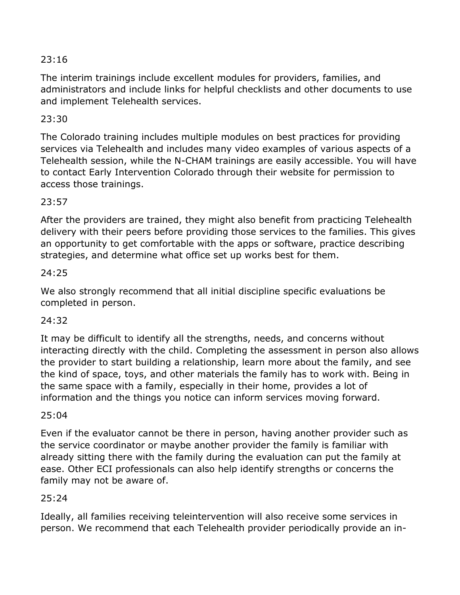The interim trainings include excellent modules for providers, families, and administrators and include links for helpful checklists and other documents to use and implement Telehealth services.

# 23:30

The Colorado training includes multiple modules on best practices for providing services via Telehealth and includes many video examples of various aspects of a Telehealth session, while the N-CHAM trainings are easily accessible. You will have to contact Early Intervention Colorado through their website for permission to access those trainings.

# 23:57

After the providers are trained, they might also benefit from practicing Telehealth delivery with their peers before providing those services to the families. This gives an opportunity to get comfortable with the apps or software, practice describing strategies, and determine what office set up works best for them.

## 24:25

We also strongly recommend that all initial discipline specific evaluations be completed in person.

#### 24:32

It may be difficult to identify all the strengths, needs, and concerns without interacting directly with the child. Completing the assessment in person also allows the provider to start building a relationship, learn more about the family, and see the kind of space, toys, and other materials the family has to work with. Being in the same space with a family, especially in their home, provides a lot of information and the things you notice can inform services moving forward.

#### 25:04

Even if the evaluator cannot be there in person, having another provider such as the service coordinator or maybe another provider the family is familiar with already sitting there with the family during the evaluation can put the family at ease. Other ECI professionals can also help identify strengths or concerns the family may not be aware of.

# $25:24$

Ideally, all families receiving teleintervention will also receive some services in person. We recommend that each Telehealth provider periodically provide an in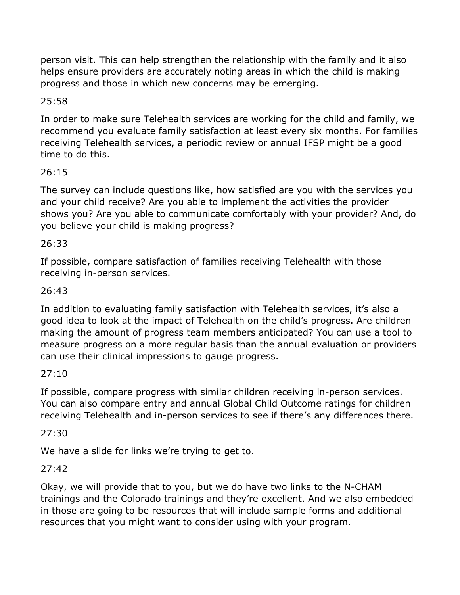person visit. This can help strengthen the relationship with the family and it also helps ensure providers are accurately noting areas in which the child is making progress and those in which new concerns may be emerging.

# 25:58

In order to make sure Telehealth services are working for the child and family, we recommend you evaluate family satisfaction at least every six months. For families receiving Telehealth services, a periodic review or annual IFSP might be a good time to do this.

# 26:15

The survey can include questions like, how satisfied are you with the services you and your child receive? Are you able to implement the activities the provider shows you? Are you able to communicate comfortably with your provider? And, do you believe your child is making progress?

# 26:33

If possible, compare satisfaction of families receiving Telehealth with those receiving in-person services.

# 26:43

In addition to evaluating family satisfaction with Telehealth services, it's also a good idea to look at the impact of Telehealth on the child's progress. Are children making the amount of progress team members anticipated? You can use a tool to measure progress on a more regular basis than the annual evaluation or providers can use their clinical impressions to gauge progress.

# 27:10

If possible, compare progress with similar children receiving in-person services. You can also compare entry and annual Global Child Outcome ratings for children receiving Telehealth and in-person services to see if there's any differences there.

#### 27:30

We have a slide for links we're trying to get to.

# 27:42

Okay, we will provide that to you, but we do have two links to the N-CHAM trainings and the Colorado trainings and they're excellent. And we also embedded in those are going to be resources that will include sample forms and additional resources that you might want to consider using with your program.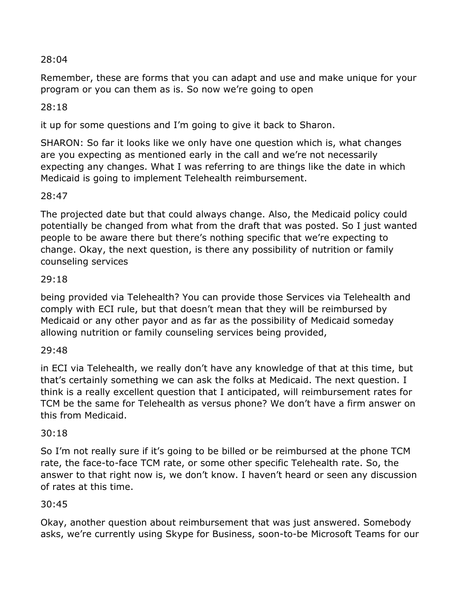Remember, these are forms that you can adapt and use and make unique for your program or you can them as is. So now we're going to open

# 28:18

it up for some questions and I'm going to give it back to Sharon.

SHARON: So far it looks like we only have one question which is, what changes are you expecting as mentioned early in the call and we're not necessarily expecting any changes. What I was referring to are things like the date in which Medicaid is going to implement Telehealth reimbursement.

#### 28:47

The projected date but that could always change. Also, the Medicaid policy could potentially be changed from what from the draft that was posted. So I just wanted people to be aware there but there's nothing specific that we're expecting to change. Okay, the next question, is there any possibility of nutrition or family counseling services

#### 29:18

being provided via Telehealth? You can provide those Services via Telehealth and comply with ECI rule, but that doesn't mean that they will be reimbursed by Medicaid or any other payor and as far as the possibility of Medicaid someday allowing nutrition or family counseling services being provided,

#### 29:48

in ECI via Telehealth, we really don't have any knowledge of that at this time, but that's certainly something we can ask the folks at Medicaid. The next question. I think is a really excellent question that I anticipated, will reimbursement rates for TCM be the same for Telehealth as versus phone? We don't have a firm answer on this from Medicaid.

#### 30:18

So I'm not really sure if it's going to be billed or be reimbursed at the phone TCM rate, the face-to-face TCM rate, or some other specific Telehealth rate. So, the answer to that right now is, we don't know. I haven't heard or seen any discussion of rates at this time.

#### 30:45

Okay, another question about reimbursement that was just answered. Somebody asks, we're currently using Skype for Business, soon-to-be Microsoft Teams for our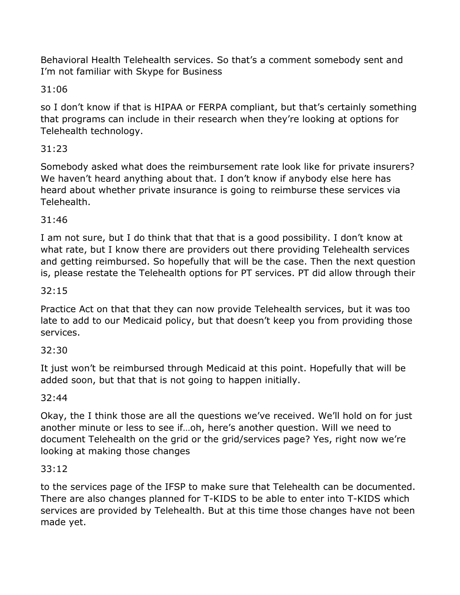Behavioral Health Telehealth services. So that's a comment somebody sent and I'm not familiar with Skype for Business

31:06

so I don't know if that is HIPAA or FERPA compliant, but that's certainly something that programs can include in their research when they're looking at options for Telehealth technology.

# 31:23

Somebody asked what does the reimbursement rate look like for private insurers? We haven't heard anything about that. I don't know if anybody else here has heard about whether private insurance is going to reimburse these services via Telehealth.

# 31:46

I am not sure, but I do think that that that is a good possibility. I don't know at what rate, but I know there are providers out there providing Telehealth services and getting reimbursed. So hopefully that will be the case. Then the next question is, please restate the Telehealth options for PT services. PT did allow through their

# 32:15

Practice Act on that that they can now provide Telehealth services, but it was too late to add to our Medicaid policy, but that doesn't keep you from providing those services.

# 32:30

It just won't be reimbursed through Medicaid at this point. Hopefully that will be added soon, but that that is not going to happen initially.

#### 32:44

Okay, the I think those are all the questions we've received. We'll hold on for just another minute or less to see if…oh, here's another question. Will we need to document Telehealth on the grid or the grid/services page? Yes, right now we're looking at making those changes

#### 33:12

to the services page of the IFSP to make sure that Telehealth can be documented. There are also changes planned for T-KIDS to be able to enter into T-KIDS which services are provided by Telehealth. But at this time those changes have not been made yet.